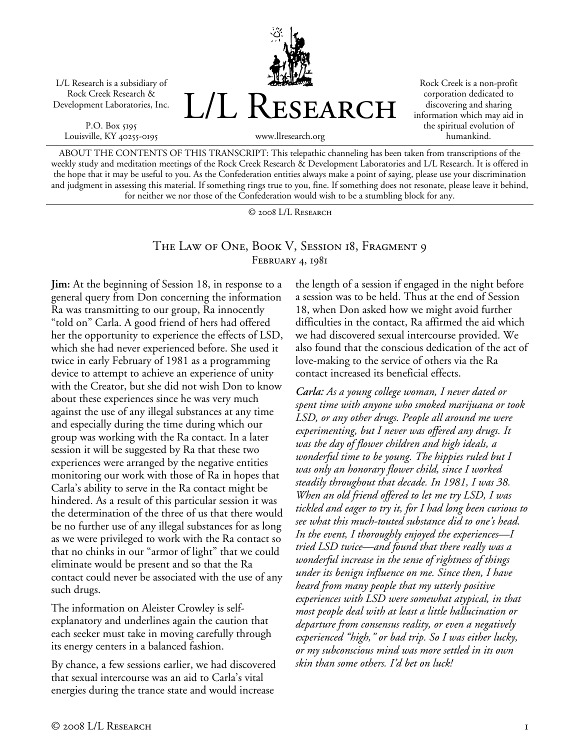

Rock Creek is a non-profit corporation dedicated to discovering and sharing information which may aid in the spiritual evolution of humankind.

ABOUT THE CONTENTS OF THIS TRANSCRIPT: This telepathic channeling has been taken from transcriptions of the weekly study and meditation meetings of the Rock Creek Research & Development Laboratories and L/L Research. It is offered in the hope that it may be useful to you. As the Confederation entities always make a point of saying, please use your discrimination and judgment in assessing this material. If something rings true to you, fine. If something does not resonate, please leave it behind, for neither we nor those of the Confederation would wish to be a stumbling block for any.

© 2008 L/L Research

## The Law of One, Book V, Session 18, Fragment 9 FEBRUARY 4, 1981

**Jim:** At the beginning of Session 18, in response to a general query from Don concerning the information Ra was transmitting to our group, Ra innocently "told on" Carla. A good friend of hers had offered her the opportunity to experience the effects of LSD, which she had never experienced before. She used it twice in early February of 1981 as a programming device to attempt to achieve an experience of unity with the Creator, but she did not wish Don to know about these experiences since he was very much against the use of any illegal substances at any time and especially during the time during which our group was working with the Ra contact. In a later session it will be suggested by Ra that these two experiences were arranged by the negative entities monitoring our work with those of Ra in hopes that Carla's ability to serve in the Ra contact might be hindered. As a result of this particular session it was the determination of the three of us that there would be no further use of any illegal substances for as long as we were privileged to work with the Ra contact so that no chinks in our "armor of light" that we could eliminate would be present and so that the Ra contact could never be associated with the use of any such drugs.

The information on Aleister Crowley is selfexplanatory and underlines again the caution that each seeker must take in moving carefully through its energy centers in a balanced fashion.

By chance, a few sessions earlier, we had discovered that sexual intercourse was an aid to Carla's vital energies during the trance state and would increase

the length of a session if engaged in the night before a session was to be held. Thus at the end of Session 18, when Don asked how we might avoid further difficulties in the contact, Ra affirmed the aid which we had discovered sexual intercourse provided. We also found that the conscious dedication of the act of love-making to the service of others via the Ra contact increased its beneficial effects.

*Carla: As a young college woman, I never dated or spent time with anyone who smoked marijuana or took LSD, or any other drugs. People all around me were experimenting, but I never was offered any drugs. It was the day of flower children and high ideals, a wonderful time to be young. The hippies ruled but I was only an honorary flower child, since I worked steadily throughout that decade. In 1981, I was 38. When an old friend offered to let me try LSD, I was tickled and eager to try it, for I had long been curious to see what this much-touted substance did to one's head. In the event, I thoroughly enjoyed the experiences—I tried LSD twice—and found that there really was a wonderful increase in the sense of rightness of things under its benign influence on me. Since then, I have heard from many people that my utterly positive experiences with LSD were somewhat atypical, in that most people deal with at least a little hallucination or departure from consensus reality, or even a negatively experienced "high," or bad trip. So I was either lucky, or my subconscious mind was more settled in its own skin than some others. I'd bet on luck!*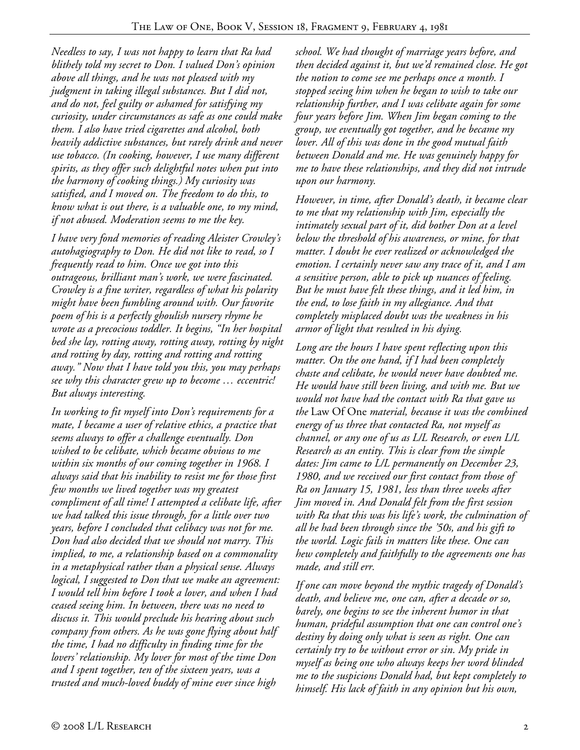*Needless to say, I was not happy to learn that Ra had blithely told my secret to Don. I valued Don's opinion above all things, and he was not pleased with my judgment in taking illegal substances. But I did not, and do not, feel guilty or ashamed for satisfying my curiosity, under circumstances as safe as one could make them. I also have tried cigarettes and alcohol, both heavily addictive substances, but rarely drink and never use tobacco. (In cooking, however, I use many different spirits, as they offer such delightful notes when put into the harmony of cooking things.) My curiosity was satisfied, and I moved on. The freedom to do this, to know what is out there, is a valuable one, to my mind, if not abused. Moderation seems to me the key.*

*I have very fond memories of reading Aleister Crowley's autohagiography to Don. He did not like to read, so I frequently read to him. Once we got into this outrageous, brilliant man's work, we were fascinated. Crowley is a fine writer, regardless of what his polarity might have been fumbling around with. Our favorite poem of his is a perfectly ghoulish nursery rhyme he wrote as a precocious toddler. It begins, "In her hospital bed she lay, rotting away, rotting away, rotting by night and rotting by day, rotting and rotting and rotting away." Now that I have told you this, you may perhaps see why this character grew up to become … eccentric! But always interesting.*

*In working to fit myself into Don's requirements for a mate, I became a user of relative ethics, a practice that seems always to offer a challenge eventually. Don wished to be celibate, which became obvious to me within six months of our coming together in 1968. I always said that his inability to resist me for those first few months we lived together was my greatest compliment of all time! I attempted a celibate life, after we had talked this issue through, for a little over two years, before I concluded that celibacy was not for me. Don had also decided that we should not marry. This implied, to me, a relationship based on a commonality in a metaphysical rather than a physical sense. Always logical, I suggested to Don that we make an agreement: I would tell him before I took a lover, and when I had ceased seeing him. In between, there was no need to discuss it. This would preclude his hearing about such company from others. As he was gone flying about half the time, I had no difficulty in finding time for the lovers' relationship. My lover for most of the time Don and I spent together, ten of the sixteen years, was a trusted and much-loved buddy of mine ever since high* 

*school. We had thought of marriage years before, and then decided against it, but we'd remained close. He got the notion to come see me perhaps once a month. I stopped seeing him when he began to wish to take our relationship further, and I was celibate again for some four years before Jim. When Jim began coming to the group, we eventually got together, and he became my lover. All of this was done in the good mutual faith between Donald and me. He was genuinely happy for me to have these relationships, and they did not intrude upon our harmony.*

*However, in time, after Donald's death, it became clear to me that my relationship with Jim, especially the intimately sexual part of it, did bother Don at a level below the threshold of his awareness, or mine, for that matter. I doubt he ever realized or acknowledged the emotion. I certainly never saw any trace of it, and I am a sensitive person, able to pick up nuances of feeling. But he must have felt these things, and it led him, in the end, to lose faith in my allegiance. And that completely misplaced doubt was the weakness in his armor of light that resulted in his dying.*

*Long are the hours I have spent reflecting upon this matter. On the one hand, if I had been completely chaste and celibate, he would never have doubted me. He would have still been living, and with me. But we would not have had the contact with Ra that gave us the* Law Of One *material, because it was the combined energy of us three that contacted Ra, not myself as channel, or any one of us as L/L Research, or even L/L Research as an entity. This is clear from the simple dates: Jim came to L/L permanently on December 23, 1980, and we received our first contact from those of Ra on January 15, 1981, less than three weeks after Jim moved in. And Donald felt from the first session with Ra that this was his life's work, the culmination of all he had been through since the '50s, and his gift to the world. Logic fails in matters like these. One can hew completely and faithfully to the agreements one has made, and still err.*

*If one can move beyond the mythic tragedy of Donald's death, and believe me, one can, after a decade or so, barely, one begins to see the inherent humor in that human, prideful assumption that one can control one's destiny by doing only what is seen as right. One can certainly try to be without error or sin. My pride in myself as being one who always keeps her word blinded me to the suspicions Donald had, but kept completely to himself. His lack of faith in any opinion but his own,*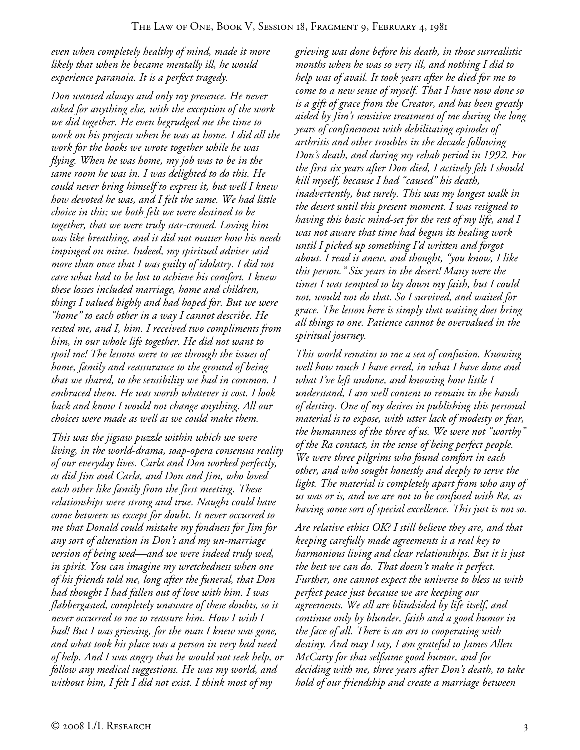*even when completely healthy of mind, made it more likely that when he became mentally ill, he would experience paranoia. It is a perfect tragedy.*

*Don wanted always and only my presence. He never asked for anything else, with the exception of the work we did together. He even begrudged me the time to work on his projects when he was at home. I did all the work for the books we wrote together while he was flying. When he was home, my job was to be in the same room he was in. I was delighted to do this. He could never bring himself to express it, but well I knew how devoted he was, and I felt the same. We had little choice in this; we both felt we were destined to be together, that we were truly star-crossed. Loving him was like breathing, and it did not matter how his needs impinged on mine. Indeed, my spiritual adviser said more than once that I was guilty of idolatry. I did not care what had to be lost to achieve his comfort. I knew these losses included marriage, home and children, things I valued highly and had hoped for. But we were "home" to each other in a way I cannot describe. He rested me, and I, him. I received two compliments from him, in our whole life together. He did not want to spoil me! The lessons were to see through the issues of home, family and reassurance to the ground of being that we shared, to the sensibility we had in common. I embraced them. He was worth whatever it cost. I look back and know I would not change anything. All our choices were made as well as we could make them.*

*This was the jigsaw puzzle within which we were living, in the world-drama, soap-opera consensus reality of our everyday lives. Carla and Don worked perfectly, as did Jim and Carla, and Don and Jim, who loved each other like family from the first meeting. These relationships were strong and true. Naught could have come between us except for doubt. It never occurred to me that Donald could mistake my fondness for Jim for any sort of alteration in Don's and my un-marriage version of being wed—and we were indeed truly wed, in spirit. You can imagine my wretchedness when one of his friends told me, long after the funeral, that Don had thought I had fallen out of love with him. I was flabbergasted, completely unaware of these doubts, so it never occurred to me to reassure him. How I wish I had! But I was grieving, for the man I knew was gone, and what took his place was a person in very bad need of help. And I was angry that he would not seek help, or follow any medical suggestions. He was my world, and without him, I felt I did not exist. I think most of my* 

*grieving was done before his death, in those surrealistic months when he was so very ill, and nothing I did to help was of avail. It took years after he died for me to come to a new sense of myself. That I have now done so is a gift of grace from the Creator, and has been greatly aided by Jim's sensitive treatment of me during the long years of confinement with debilitating episodes of arthritis and other troubles in the decade following Don's death, and during my rehab period in 1992. For the first six years after Don died, I actively felt I should kill myself, because I had "caused" his death, inadvertently, but surely. This was my longest walk in the desert until this present moment. I was resigned to having this basic mind-set for the rest of my life, and I was not aware that time had begun its healing work until I picked up something I'd written and forgot about. I read it anew, and thought, "you know, I like this person." Six years in the desert! Many were the times I was tempted to lay down my faith, but I could not, would not do that. So I survived, and waited for grace. The lesson here is simply that waiting does bring all things to one. Patience cannot be overvalued in the spiritual journey.*

*This world remains to me a sea of confusion. Knowing well how much I have erred, in what I have done and what I've left undone, and knowing how little I understand, I am well content to remain in the hands of destiny. One of my desires in publishing this personal material is to expose, with utter lack of modesty or fear, the humanness of the three of us. We were not "worthy" of the Ra contact, in the sense of being perfect people. We were three pilgrims who found comfort in each other, and who sought honestly and deeply to serve the light. The material is completely apart from who any of us was or is, and we are not to be confused with Ra, as having some sort of special excellence. This just is not so.*

*Are relative ethics OK? I still believe they are, and that keeping carefully made agreements is a real key to harmonious living and clear relationships. But it is just the best we can do. That doesn't make it perfect. Further, one cannot expect the universe to bless us with perfect peace just because we are keeping our agreements. We all are blindsided by life itself, and continue only by blunder, faith and a good humor in the face of all. There is an art to cooperating with destiny. And may I say, I am grateful to James Allen McCarty for that selfsame good humor, and for deciding with me, three years after Don's death, to take hold of our friendship and create a marriage between*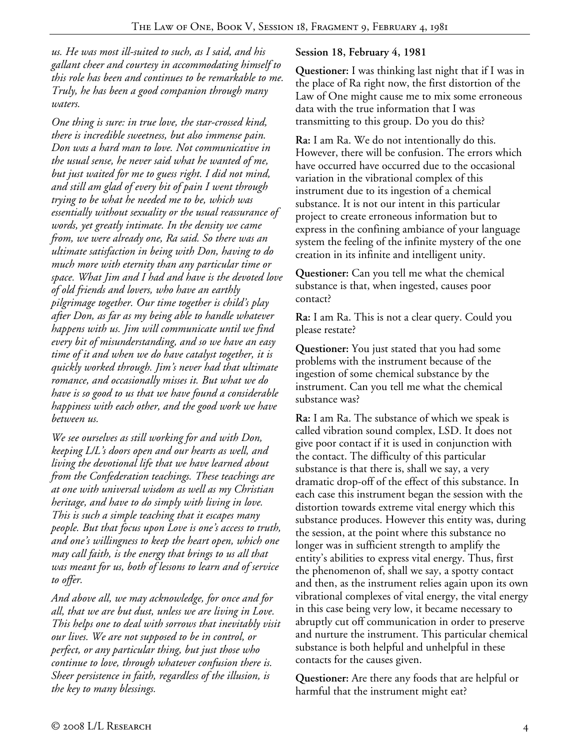*us. He was most ill-suited to such, as I said, and his gallant cheer and courtesy in accommodating himself to this role has been and continues to be remarkable to me. Truly, he has been a good companion through many waters.*

*One thing is sure: in true love, the star-crossed kind, there is incredible sweetness, but also immense pain. Don was a hard man to love. Not communicative in the usual sense, he never said what he wanted of me, but just waited for me to guess right. I did not mind, and still am glad of every bit of pain I went through trying to be what he needed me to be, which was essentially without sexuality or the usual reassurance of words, yet greatly intimate. In the density we came from, we were already one, Ra said. So there was an ultimate satisfaction in being with Don, having to do much more with eternity than any particular time or space. What Jim and I had and have is the devoted love of old friends and lovers, who have an earthly pilgrimage together. Our time together is child's play after Don, as far as my being able to handle whatever happens with us. Jim will communicate until we find every bit of misunderstanding, and so we have an easy time of it and when we do have catalyst together, it is quickly worked through. Jim's never had that ultimate romance, and occasionally misses it. But what we do have is so good to us that we have found a considerable happiness with each other, and the good work we have between us.*

*We see ourselves as still working for and with Don, keeping L/L's doors open and our hearts as well, and living the devotional life that we have learned about from the Confederation teachings. These teachings are at one with universal wisdom as well as my Christian heritage, and have to do simply with living in love. This is such a simple teaching that it escapes many people. But that focus upon Love is one's access to truth, and one's willingness to keep the heart open, which one may call faith, is the energy that brings to us all that was meant for us, both of lessons to learn and of service to offer.*

*And above all, we may acknowledge, for once and for all, that we are but dust, unless we are living in Love. This helps one to deal with sorrows that inevitably visit our lives. We are not supposed to be in control, or perfect, or any particular thing, but just those who continue to love, through whatever confusion there is. Sheer persistence in faith, regardless of the illusion, is the key to many blessings.*

## **Session 18, February 4, 1981**

**Questioner:** I was thinking last night that if I was in the place of Ra right now, the first distortion of the Law of One might cause me to mix some erroneous data with the true information that I was transmitting to this group. Do you do this?

**Ra:** I am Ra. We do not intentionally do this. However, there will be confusion. The errors which have occurred have occurred due to the occasional variation in the vibrational complex of this instrument due to its ingestion of a chemical substance. It is not our intent in this particular project to create erroneous information but to express in the confining ambiance of your language system the feeling of the infinite mystery of the one creation in its infinite and intelligent unity.

**Questioner:** Can you tell me what the chemical substance is that, when ingested, causes poor contact?

**Ra:** I am Ra. This is not a clear query. Could you please restate?

**Questioner:** You just stated that you had some problems with the instrument because of the ingestion of some chemical substance by the instrument. Can you tell me what the chemical substance was?

**Ra:** I am Ra. The substance of which we speak is called vibration sound complex, LSD. It does not give poor contact if it is used in conjunction with the contact. The difficulty of this particular substance is that there is, shall we say, a very dramatic drop-off of the effect of this substance. In each case this instrument began the session with the distortion towards extreme vital energy which this substance produces. However this entity was, during the session, at the point where this substance no longer was in sufficient strength to amplify the entity's abilities to express vital energy. Thus, first the phenomenon of, shall we say, a spotty contact and then, as the instrument relies again upon its own vibrational complexes of vital energy, the vital energy in this case being very low, it became necessary to abruptly cut off communication in order to preserve and nurture the instrument. This particular chemical substance is both helpful and unhelpful in these contacts for the causes given.

**Questioner:** Are there any foods that are helpful or harmful that the instrument might eat?